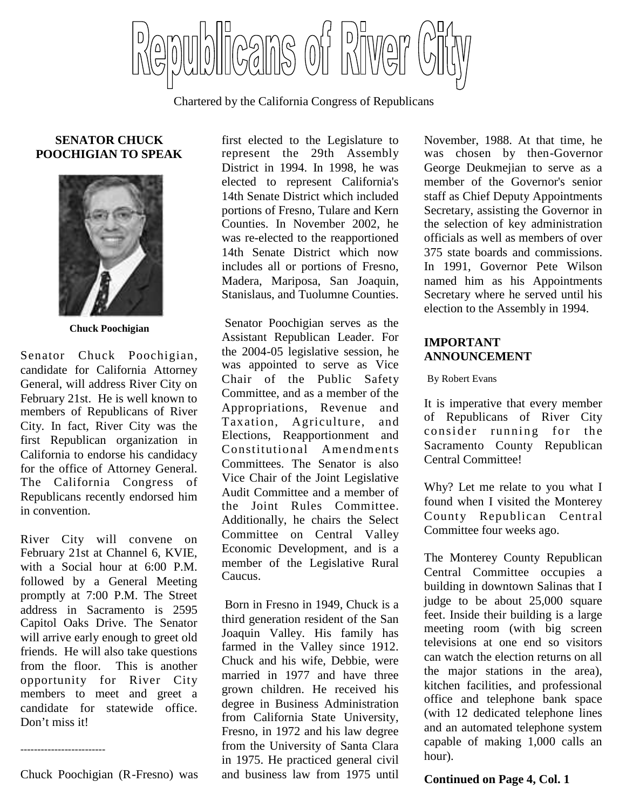Cans of Piwer

Chartered by the California Congress of Republicans

### **SENATOR CHUCK POOCHIGIAN TO SPEAK**



**Chuck Poochigian**

Senator Chuck Poochigian, candidate for California Attorney General, will address River City on February 21st. He is well known to members of Republicans of River City. In fact, River City was the first Republican organization in California to endorse his candidacy for the office of Attorney General. The California Congress of Republicans recently endorsed him in convention.

River City will convene on February 21st at Channel 6, KVIE, with a Social hour at 6:00 P.M. followed by a General Meeting promptly at 7:00 P.M. The Street address in Sacramento is 2595 Capitol Oaks Drive. The Senator will arrive early enough to greet old friends. He will also take questions from the floor. This is another opportunity for River City members to meet and greet a candidate for statewide office. Don't miss it!

Chuck Poochigian (R-Fresno) was

-------------------------

first elected to the Legislature to represent the 29th Assembly District in 1994. In 1998, he was elected to represent California's 14th Senate District which included portions of Fresno, Tulare and Kern Counties. In November 2002, he was re-elected to the reapportioned 14th Senate District which now includes all or portions of Fresno, Madera, Mariposa, San Joaquin, Stanislaus, and Tuolumne Counties.

Senator Poochigian serves as the Assistant Republican Leader. For the 2004-05 legislative session, he was appointed to serve as Vice Chair of the Public Safety Committee, and as a member of the Appropriations, Revenue and Taxation, Agriculture, and Elections, Reapportionment and Constitutional Amendments Committees. The Senator is also Vice Chair of the Joint Legislative Audit Committee and a member of the Joint Rules Committee. Additionally, he chairs the Select Committee on Central Valley Economic Development, and is a member of the Legislative Rural Caucus.

Born in Fresno in 1949, Chuck is a third generation resident of the San Joaquin Valley. His family has farmed in the Valley since 1912. Chuck and his wife, Debbie, were married in 1977 and have three grown children. He received his degree in Business Administration from California State University, Fresno, in 1972 and his law degree from the University of Santa Clara in 1975. He practiced general civil and business law from 1975 until

November, 1988. At that time, he was chosen by then-Governor George Deukmejian to serve as a member of the Governor's senior staff as Chief Deputy Appointments Secretary, assisting the Governor in the selection of key administration officials as well as members of over 375 state boards and commissions. In 1991, Governor Pete Wilson named him as his Appointments Secretary where he served until his election to the Assembly in 1994.

## **IMPORTANT ANNOUNCEMENT**

By Robert Evans

It is imperative that every member of Republicans of River City consider running for the Sacramento County Republican Central Committee!

Why? Let me relate to you what I found when I visited the Monterey County Republican Central Committee four weeks ago.

The Monterey County Republican Central Committee occupies a building in downtown Salinas that I judge to be about 25,000 square feet. Inside their building is a large meeting room (with big screen televisions at one end so visitors can watch the election returns on all the major stations in the area), kitchen facilities, and professional office and telephone bank space (with 12 dedicated telephone lines and an automated telephone system capable of making 1,000 calls an hour).

#### **Continued on Page 4, Col. 1**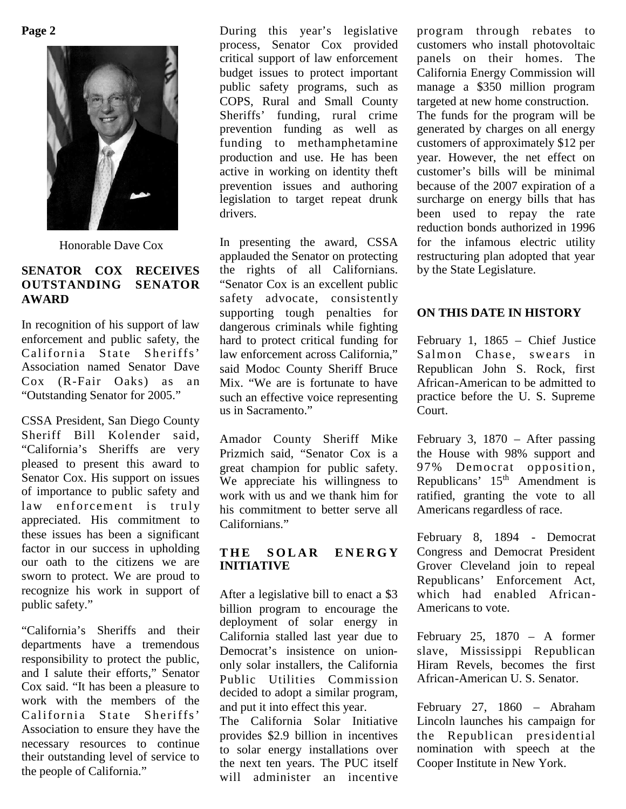**Page 2**



Honorable Dave Cox

### **SENATOR COX RECEIVES OUTSTANDING SENATOR AWARD**

In recognition of his support of law enforcement and public safety, the California State Sheriffs' Association named Senator Dave Cox (R-Fair Oaks) as an "Outstanding Senator for 2005."

CSSA President, San Diego County Sheriff Bill Kolender said, "California's Sheriffs are very pleased to present this award to Senator Cox. His support on issues of importance to public safety and law enforcement is truly appreciated. His commitment to these issues has been a significant factor in our success in upholding our oath to the citizens we are sworn to protect. We are proud to recognize his work in support of public safety."

"California's Sheriffs and their departments have a tremendous responsibility to protect the public, and I salute their efforts," Senator Cox said. "It has been a pleasure to work with the members of the California State Sheriffs' Association to ensure they have the necessary resources to continue their outstanding level of service to the people of California."

During this year's legislative process, Senator Cox provided critical support of law enforcement budget issues to protect important public safety programs, such as COPS, Rural and Small County Sheriffs' funding, rural crime prevention funding as well as funding to methamphetamine production and use. He has been active in working on identity theft prevention issues and authoring legislation to target repeat drunk drivers.

In presenting the award, CSSA applauded the Senator on protecting the rights of all Californians. "Senator Cox is an excellent public safety advocate, consistently supporting tough penalties for dangerous criminals while fighting hard to protect critical funding for law enforcement across California," said Modoc County Sheriff Bruce Mix. "We are is fortunate to have such an effective voice representing us in Sacramento."

Amador County Sheriff Mike Prizmich said, "Senator Cox is a great champion for public safety. We appreciate his willingness to work with us and we thank him for his commitment to better serve all Californians."

#### THE SOLAR ENERGY **INITIATIVE**

After a legislative bill to enact a \$3 billion program to encourage the deployment of solar energy in California stalled last year due to Democrat's insistence on uniononly solar installers, the California Public Utilities Commission decided to adopt a similar program, and put it into effect this year.

The California Solar Initiative provides \$2.9 billion in incentives to solar energy installations over the next ten years. The PUC itself will administer an incentive

program through rebates to customers who install photovoltaic panels on their homes. The California Energy Commission will manage a \$350 million program targeted at new home construction. The funds for the program will be generated by charges on all energy customers of approximately \$12 per year. However, the net effect on customer's bills will be minimal because of the 2007 expiration of a surcharge on energy bills that has been used to repay the rate reduction bonds authorized in 1996 for the infamous electric utility restructuring plan adopted that year by the State Legislature.

## **ON THIS DATE IN HISTORY**

February 1, 1865 – Chief Justice Salmon Chase, swears in Republican John S. Rock, first African-American to be admitted to practice before the U. S. Supreme Court.

February 3, 1870 – After passing the House with 98% support and 97% Democrat opposition, Republicans'  $15<sup>th</sup>$  Amendment is ratified, granting the vote to all Americans regardless of race.

February 8, 1894 - Democrat Congress and Democrat President Grover Cleveland join to repeal Republicans' Enforcement Act, which had enabled African-Americans to vote.

February 25, 1870 – A former slave, Mississippi Republican Hiram Revels, becomes the first African-American U. S. Senator.

February 27, 1860 – Abraham Lincoln launches his campaign for the Republican presidential nomination with speech at the Cooper Institute in New York.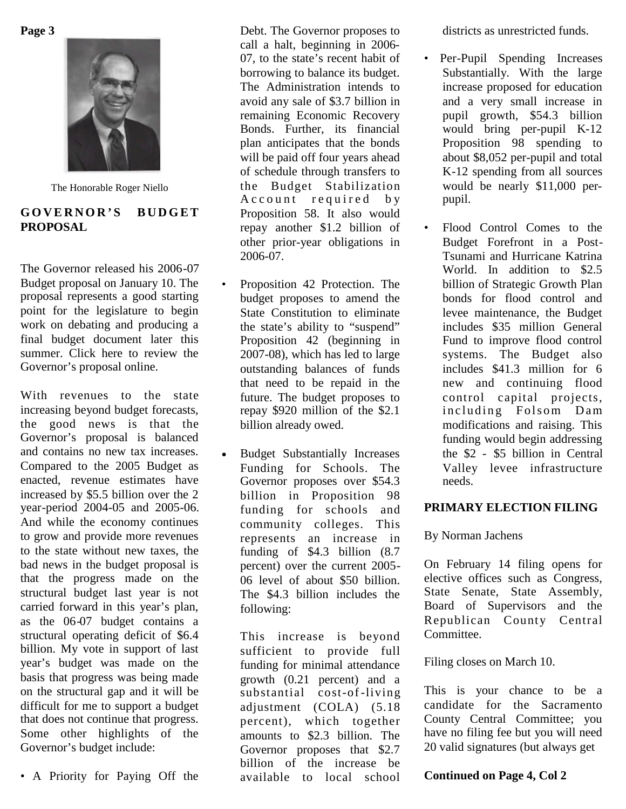**Page 3**



The Honorable Roger Niello

## **G O V E R N O R ' S B U D G E T PROPOSAL**

The Governor released his 2006-07 Budget proposal on January 10. The proposal represents a good starting point for the legislature to begin work on debating and producing a final budget document later this summer. Click here to review the Governor's proposal online.

With revenues to the state increasing beyond budget forecasts, the good news is that the Governor's proposal is balanced and contains no new tax increases. Compared to the 2005 Budget as enacted, revenue estimates have increased by \$5.5 billion over the 2 year-period 2004-05 and 2005-06. And while the economy continues to grow and provide more revenues to the state without new taxes, the bad news in the budget proposal is that the progress made on the structural budget last year is not carried forward in this year's plan, as the 06-07 budget contains a structural operating deficit of \$6.4 billion. My vote in support of last year's budget was made on the basis that progress was being made on the structural gap and it will be difficult for me to support a budget that does not continue that progress. Some other highlights of the Governor's budget include:

• A Priority for Paying Off the

Debt. The Governor proposes to call a halt, beginning in 2006- 07, to the state's recent habit of borrowing to balance its budget. The Administration intends to avoid any sale of \$3.7 billion in remaining Economic Recovery Bonds. Further, its financial plan anticipates that the bonds will be paid off four years ahead of schedule through transfers to the Budget Stabilization A c c o u n t r e quired by Proposition 58. It also would repay another \$1.2 billion of other prior-year obligations in 2006-07.

- Proposition 42 Protection. The budget proposes to amend the State Constitution to eliminate the state's ability to "suspend" Proposition 42 (beginning in 2007-08), which has led to large outstanding balances of funds that need to be repaid in the future. The budget proposes to repay \$920 million of the \$2.1 billion already owed.
- Budget Substantially Increases Funding for Schools. The Governor proposes over \$54.3 billion in Proposition 98 funding for schools and community colleges. This represents an increase in funding of \$4.3 billion (8.7 percent) over the current 2005- 06 level of about \$50 billion. The \$4.3 billion includes the following:

This increase is beyond sufficient to provide full funding for minimal attendance growth (0.21 percent) and a substantial cost-of-living adjustment (COLA) (5.18 percent), which together amounts to \$2.3 billion. The Governor proposes that \$2.7 billion of the increase be available to local school

districts as unrestricted funds.

- Per-Pupil Spending Increases Substantially. With the large increase proposed for education and a very small increase in pupil growth, \$54.3 billion would bring per-pupil K-12 Proposition 98 spending to about \$8,052 per-pupil and total K-12 spending from all sources would be nearly \$11,000 perpupil.
- Flood Control Comes to the Budget Forefront in a Post-Tsunami and Hurricane Katrina World. In addition to \$2.5 billion of Strategic Growth Plan bonds for flood control and levee maintenance, the Budget includes \$35 million General Fund to improve flood control systems. The Budget also includes \$41.3 million for 6 new and continuing flood control capital projects, including Folsom Dam modifications and raising. This funding would begin addressing the \$2 - \$5 billion in Central Valley levee infrastructure needs.

## **PRIMARY ELECTION FILING**

By Norman Jachens

On February 14 filing opens for elective offices such as Congress, State Senate, State Assembly, Board of Supervisors and the Republican County Central Committee.

Filing closes on March 10.

This is your chance to be a candidate for the Sacramento County Central Committee; you have no filing fee but you will need 20 valid signatures (but always get

**Continued on Page 4, Col 2**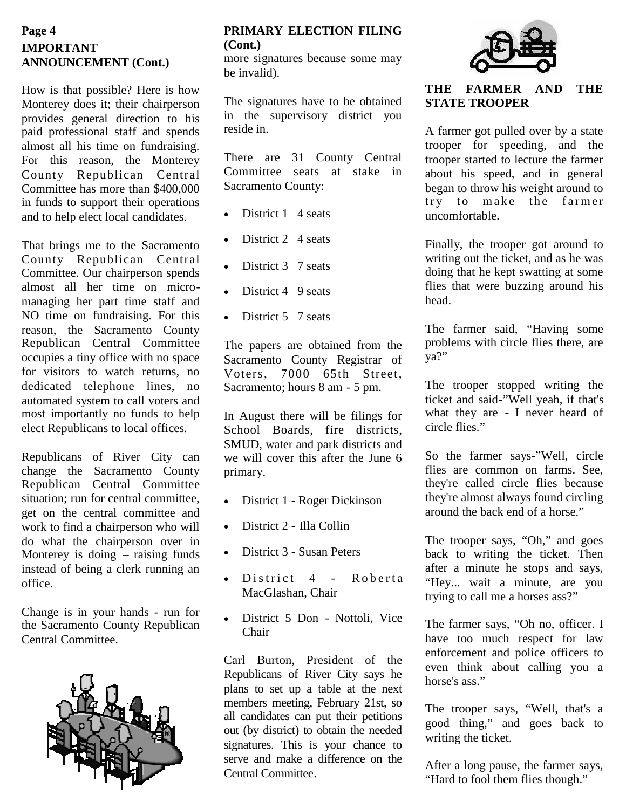## **IMPORTANT ANNOUNCEMENT (Cont.) Page 4**

How is that possible? Here is how Monterey does it; their chairperson provides general direction to his paid professional staff and spends almost all his time on fundraising. For this reason, the Monterey County Republican Central Committee has more than \$400,000 in funds to support their operations and to help elect local candidates.

That brings me to the Sacramento County Republican Central Committee. Our chairperson spends almost all her time on micromanaging her part time staff and NO time on fundraising. For this reason, the Sacramento County Republican Central Committee occupies a tiny office with no space for visitors to watch returns, no dedicated telephone lines, no automated system to call voters and most importantly no funds to help elect Republicans to local offices.

Republicans of River City can change the Sacramento County Republican Central Committee situation; run for central committee, get on the central committee and work to find a chairperson who will do what the chairperson over in Monterey is doing – raising funds instead of being a clerk running an office.

Change is in your hands - run for the Sacramento County Republican Central Committee.



# **PRIMARY ELECTION FILING (Cont.)**

more signatures because some may be invalid).

The signatures have to be obtained in the supervisory district you reside in.

There are 31 County Central Committee seats at stake in Sacramento County:

- District 1 4 seats
- District 2 4 seats
- District 3 7 seats
- District 4 9 seats
- District 5 7 seats

The papers are obtained from the Sacramento County Registrar of Voters, 7000 65th Street, Sacramento; hours 8 am - 5 pm.

In August there will be filings for School Boards, fire districts, SMUD, water and park districts and we will cover this after the June 6 primary.

- District 1 Roger Dickinson
- District 2 Illa Collin
- District 3 Susan Peters
- District 4 Roberta MacGlashan, Chair
- District 5 Don Nottoli, Vice Chair

Carl Burton, President of the Republicans of River City says he plans to set up a table at the next members meeting, February 21st, so all candidates can put their petitions out (by district) to obtain the needed signatures. This is your chance to serve and make a difference on the Central Committee.



## **THE FARMER AND THE STATE TROOPER**

A farmer got pulled over by a state trooper for speeding, and the trooper started to lecture the farmer about his speed, and in general began to throw his weight around to try to make the farmer uncomfortable.

Finally, the trooper got around to writing out the ticket, and as he was doing that he kept swatting at some flies that were buzzing around his head.

The farmer said, "Having some problems with circle flies there, are ya?"

The trooper stopped writing the ticket and said-"Well yeah, if that's what they are - I never heard of circle flies."

So the farmer says-"Well, circle flies are common on farms. See, they're called circle flies because they're almost always found circling around the back end of a horse."

The trooper says, "Oh," and goes back to writing the ticket. Then after a minute he stops and says, "Hey... wait a minute, are you trying to call me a horses ass?"

The farmer says, "Oh no, officer. I have too much respect for law enforcement and police officers to even think about calling you a horse's ass."

The trooper says, "Well, that's a good thing," and goes back to writing the ticket.

After a long pause, the farmer says, "Hard to fool them flies though."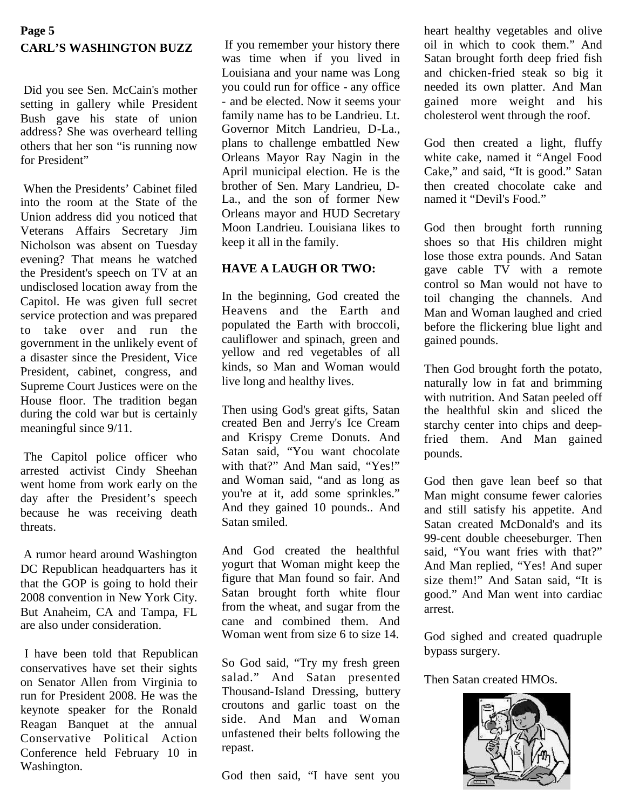# **Page 5 CARL'S WASHINGTON BUZZ**

Did you see Sen. McCain's mother setting in gallery while President Bush gave his state of union address? She was overheard telling others that her son "is running now for President"

When the Presidents' Cabinet filed into the room at the State of the Union address did you noticed that Veterans Affairs Secretary Jim Nicholson was absent on Tuesday evening? That means he watched the President's speech on TV at an undisclosed location away from the Capitol. He was given full secret service protection and was prepared to take over and run the government in the unlikely event of a disaster since the President, Vice President, cabinet, congress, and Supreme Court Justices were on the House floor. The tradition began during the cold war but is certainly meaningful since 9/11.

The Capitol police officer who arrested activist Cindy Sheehan went home from work early on the day after the President's speech because he was receiving death threats.

A rumor heard around Washington DC Republican headquarters has it that the GOP is going to hold their 2008 convention in New York City. But Anaheim, CA and Tampa, FL are also under consideration.

I have been told that Republican conservatives have set their sights on Senator Allen from Virginia to run for President 2008. He was the keynote speaker for the Ronald Reagan Banquet at the annual Conservative Political Action Conference held February 10 in Washington.

If you remember your history there was time when if you lived in Louisiana and your name was Long you could run for office - any office - and be elected. Now it seems your family name has to be Landrieu. Lt. Governor Mitch Landrieu, D-La., plans to challenge embattled New Orleans Mayor Ray Nagin in the April municipal election. He is the brother of Sen. Mary Landrieu, D-La<sub>v</sub> and the son of former New Orleans mayor and HUD Secretary Moon Landrieu. Louisiana likes to keep it all in the family.

## **HAVE A LAUGH OR TWO:**

In the beginning, God created the Heavens and the Earth and populated the Earth with broccoli, cauliflower and spinach, green and yellow and red vegetables of all kinds, so Man and Woman would live long and healthy lives.

Then using God's great gifts, Satan created Ben and Jerry's Ice Cream and Krispy Creme Donuts. And Satan said, "You want chocolate with that?" And Man said, "Yes!" and Woman said, "and as long as you're at it, add some sprinkles." And they gained 10 pounds.. And Satan smiled.

And God created the healthful yogurt that Woman might keep the figure that Man found so fair. And Satan brought forth white flour from the wheat, and sugar from the cane and combined them. And Woman went from size 6 to size 14.

So God said, "Try my fresh green salad." And Satan presented Thousand-Island Dressing, buttery croutons and garlic toast on the side. And Man and Woman unfastened their belts following the repast.

God then said, "I have sent you

heart healthy vegetables and olive oil in which to cook them." And Satan brought forth deep fried fish and chicken-fried steak so big it needed its own platter. And Man gained more weight and his cholesterol went through the roof.

God then created a light, fluffy white cake, named it "Angel Food Cake," and said, "It is good." Satan then created chocolate cake and named it "Devil's Food."

God then brought forth running shoes so that His children might lose those extra pounds. And Satan gave cable TV with a remote control so Man would not have to toil changing the channels. And Man and Woman laughed and cried before the flickering blue light and gained pounds.

Then God brought forth the potato, naturally low in fat and brimming with nutrition. And Satan peeled off the healthful skin and sliced the starchy center into chips and deepfried them. And Man gained pounds.

God then gave lean beef so that Man might consume fewer calories and still satisfy his appetite. And Satan created McDonald's and its 99-cent double cheeseburger. Then said, "You want fries with that?" And Man replied, "Yes! And super size them!" And Satan said, "It is good." And Man went into cardiac arrest.

God sighed and created quadruple bypass surgery.

Then Satan created HMOs.

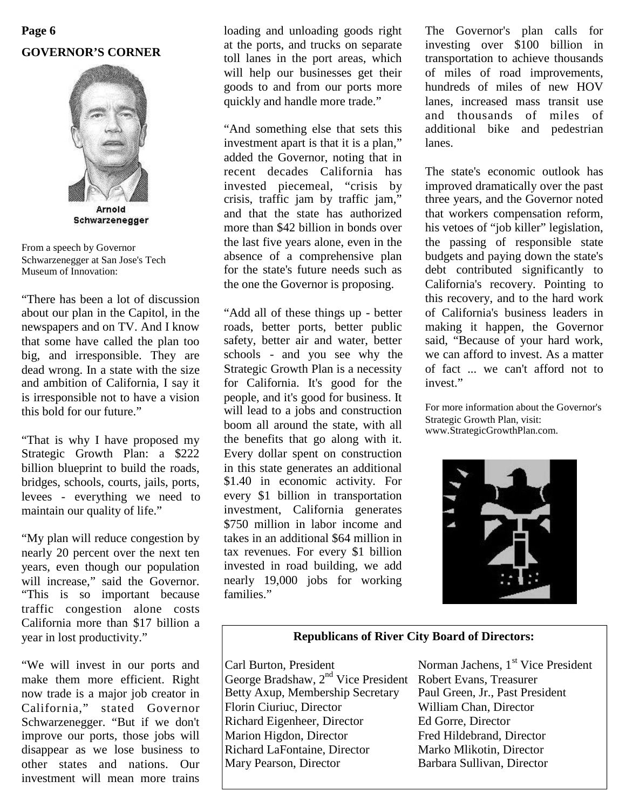# **Page 6 GOVERNOR'S CORNER**



From a speech by Governor Schwarzenegger at San Jose's Tech Museum of Innovation:

"There has been a lot of discussion about our plan in the Capitol, in the newspapers and on TV. And I know that some have called the plan too big, and irresponsible. They are dead wrong. In a state with the size and ambition of California, I say it is irresponsible not to have a vision this bold for our future."

"That is why I have proposed my Strategic Growth Plan: a \$222 billion blueprint to build the roads, bridges, schools, courts, jails, ports, levees - everything we need to maintain our quality of life."

"My plan will reduce congestion by nearly 20 percent over the next ten years, even though our population will increase," said the Governor. "This is so important because traffic congestion alone costs California more than \$17 billion a year in lost productivity."

"We will invest in our ports and make them more efficient. Right now trade is a major job creator in California," stated Governor Schwarzenegger. "But if we don't improve our ports, those jobs will disappear as we lose business to other states and nations. Our investment will mean more trains

loading and unloading goods right at the ports, and trucks on separate toll lanes in the port areas, which will help our businesses get their goods to and from our ports more quickly and handle more trade."

"And something else that sets this investment apart is that it is a plan," added the Governor, noting that in recent decades California has invested piecemeal, "crisis by crisis, traffic jam by traffic jam," and that the state has authorized more than \$42 billion in bonds over the last five years alone, even in the absence of a comprehensive plan for the state's future needs such as the one the Governor is proposing.

"Add all of these things up - better roads, better ports, better public safety, better air and water, better schools - and you see why the Strategic Growth Plan is a necessity for California. It's good for the people, and it's good for business. It will lead to a jobs and construction boom all around the state, with all the benefits that go along with it. Every dollar spent on construction in this state generates an additional \$1.40 in economic activity. For every \$1 billion in transportation investment, California generates \$750 million in labor income and takes in an additional \$64 million in tax revenues. For every \$1 billion invested in road building, we add nearly 19,000 jobs for working families"

The Governor's plan calls for investing over \$100 billion in transportation to achieve thousands of miles of road improvements, hundreds of miles of new HOV lanes, increased mass transit use and thousands of miles of additional bike and pedestrian lanes.

The state's economic outlook has improved dramatically over the past three years, and the Governor noted that workers compensation reform, his vetoes of "job killer" legislation, the passing of responsible state budgets and paying down the state's debt contributed significantly to California's recovery. Pointing to this recovery, and to the hard work of California's business leaders in making it happen, the Governor said, "Because of your hard work, we can afford to invest. As a matter of fact ... we can't afford not to invest."

For more information about the Governor's Strategic Growth Plan, visit: www.StrategicGrowthPlan.com.



### **Republicans of River City Board of Directors:**

George Bradshaw, 2<sup>nd</sup> Vice President Robert Evans, Treasurer<br>Betty Axup, Membership Secretary Paul Green, Jr., Past President Betty Axup, Membership Secretary Florin Ciuriuc, Director William Chan, Director Richard Eigenheer, Director Ed Gorre, Director Marion Higdon, Director Fred Hildebrand, Director Richard LaFontaine, Director Marko Mlikotin, Director<br>Mary Pearson, Director Barbara Sullivan, Director

Carl Burton, President Norman Jachens, 1<sup>st</sup> Vice President Barbara Sullivan, Director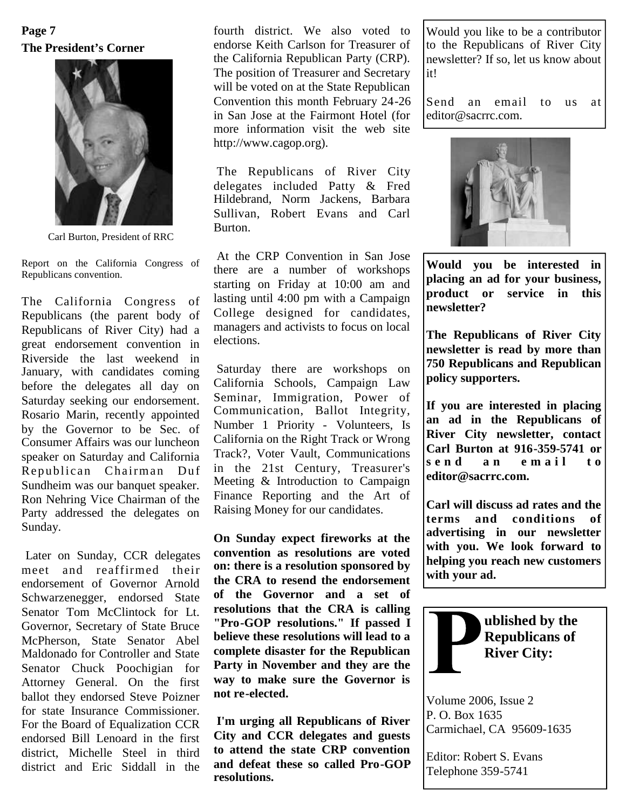# **The President's Corner Page 7**



Carl Burton, President of RRC

Report on the California Congress of Republicans convention.

The California Congress of Republicans (the parent body of Republicans of River City) had a great endorsement convention in Riverside the last weekend in January, with candidates coming before the delegates all day on Saturday seeking our endorsement. Rosario Marin, recently appointed by the Governor to be Sec. of Consumer Affairs was our luncheon speaker on Saturday and California Republican Chairman Duf Sundheim was our banquet speaker. Ron Nehring Vice Chairman of the Party addressed the delegates on Sunday.

Later on Sunday, CCR delegates meet and reaffirmed their endorsement of Governor Arnold Schwarzenegger, endorsed State Senator Tom McClintock for Lt. Governor, Secretary of State Bruce McPherson, State Senator Abel Maldonado for Controller and State Senator Chuck Poochigian for Attorney General. On the first ballot they endorsed Steve Poizner for state Insurance Commissioner. For the Board of Equalization CCR endorsed Bill Lenoard in the first district, Michelle Steel in third district and Eric Siddall in the

fourth district. We also voted to endorse Keith Carlson for Treasurer of the California Republican Party (CRP). The position of Treasurer and Secretary will be voted on at the State Republican Convention this month February 24-26 in San Jose at the Fairmont Hotel (for more information visit the web site http://www.cagop.org).

The Republicans of River City delegates included Patty & Fred Hildebrand, Norm Jackens, Barbara Sullivan, Robert Evans and Carl Burton.

At the CRP Convention in San Jose there are a number of workshops starting on Friday at 10:00 am and lasting until 4:00 pm with a Campaign College designed for candidates, managers and activists to focus on local elections.

Saturday there are workshops on California Schools, Campaign Law Seminar, Immigration, Power of Communication, Ballot Integrity, Number 1 Priority - Volunteers, Is California on the Right Track or Wrong Track?, Voter Vault, Communications in the 21st Century, Treasurer's Meeting & Introduction to Campaign Finance Reporting and the Art of Raising Money for our candidates.

**On Sunday expect fireworks at the convention as resolutions are voted on: there is a resolution sponsored by the CRA to resend the endorsement of the Governor and a set of resolutions that the CRA is calling "Pro-GOP resolutions." If passed I believe these resolutions will lead to a complete disaster for the Republican Party in November and they are the way to make sure the Governor is not re-elected.**

**I'm urging all Republicans of River City and CCR delegates and guests to attend the state CRP convention and defeat these so called Pro-GOP resolutions.**

Would you like to be a contributor to the Republicans of River City newsletter? If so, let us know about it!

Send an email to us at editor@sacrrc.com.



**Would you be interested in placing an ad for your business, product or service in this newsletter?**

**The Republicans of River City newsletter is read by more than 750 Republicans and Republican policy supporters.**

**If you are interested in placing an ad in the Republicans of River City newsletter, contact Carl Burton at 916-359-5741 or** send an email to **editor@sacrrc.com.**

**Carl will discuss ad rates and the terms and conditions of advertising in our newsletter with you. We look forward to helping you reach new customers with your ad.**



Volume 2006, Issue 2 P. O. Box 1635 Carmichael, CA 95609-1635

Editor: Robert S. Evans Telephone 359-5741